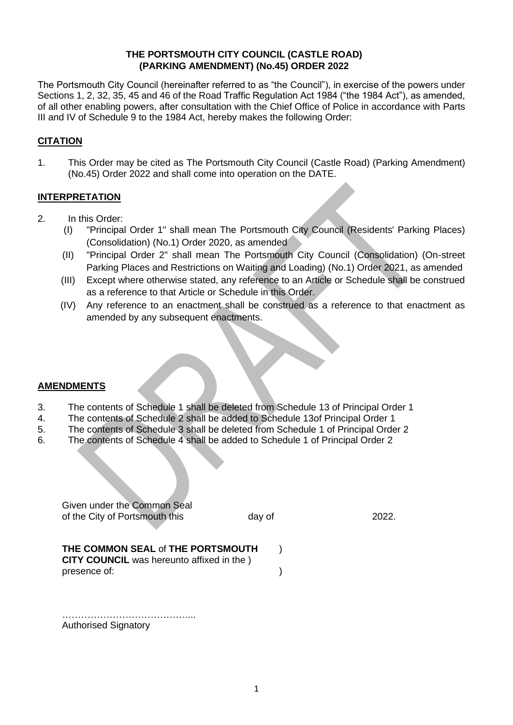# **THE PORTSMOUTH CITY COUNCIL (CASTLE ROAD) (PARKING AMENDMENT) (No.45) ORDER 2022**

The Portsmouth City Council (hereinafter referred to as "the Council"), in exercise of the powers under Sections 1, 2, 32, 35, 45 and 46 of the Road Traffic Regulation Act 1984 ("the 1984 Act"), as amended, of all other enabling powers, after consultation with the Chief Office of Police in accordance with Parts III and IV of Schedule 9 to the 1984 Act, hereby makes the following Order:

# **CITATION**

1. This Order may be cited as The Portsmouth City Council (Castle Road) (Parking Amendment) (No.45) Order 2022 and shall come into operation on the DATE.

## **INTERPRETATION**

- 2. In this Order:
	- (I) "Principal Order 1" shall mean The Portsmouth City Council (Residents' Parking Places) (Consolidation) (No.1) Order 2020, as amended
	- (II) "Principal Order 2" shall mean The Portsmouth City Council (Consolidation) (On-street Parking Places and Restrictions on Waiting and Loading) (No.1) Order 2021, as amended
	- (III) Except where otherwise stated, any reference to an Article or Schedule shall be construed as a reference to that Article or Schedule in this Order.
	- (IV) Any reference to an enactment shall be construed as a reference to that enactment as amended by any subsequent enactments.

#### **AMENDMENTS**

- 3. The contents of Schedule 1 shall be deleted from Schedule 13 of Principal Order 1
- 4. The contents of Schedule 2 shall be added to Schedule 13of Principal Order 1<br>5. The contents of Schedule 3 shall be deleted from Schedule 1 of Principal Orde
- 5. The contents of Schedule 3 shall be deleted from Schedule 1 of Principal Order 2
- 6. The contents of Schedule 4 shall be added to Schedule 1 of Principal Order 2

Given under the Common Seal of the City of Portsmouth this day of 2022.

### **THE COMMON SEAL** of **THE PORTSMOUTH** ) **CITY COUNCIL** was hereunto affixed in the )

presence of:  $\qquad \qquad$  )

……………………………………………… Authorised Signatory